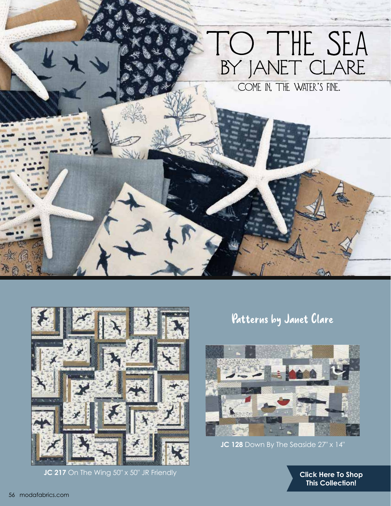



**JC 217** On The Wing 50" x 50" JR Friendly

## Patterns by Janet Clare



**JC 128** Down By The Seaside 27" x 14"

**[Click Here To Shop](https://my.modafabrics.com/shop/s/Janet_Clare/To_The_Sea/) This Collection!**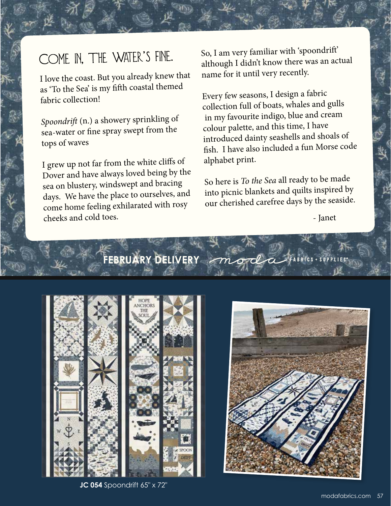## COME IN, THE WATER'S FINE.

I love the coast. But you already knew that as 'To the Sea' is my fifth coastal themed fabric collection!

*Spoondrift* (n.) a showery sprinkling of sea-water or fine spray swept from the tops of waves

·<br>感

I grew up not far from the white cliffs of Dover and have always loved being by the sea on blustery, windswept and bracing days. We have the place to ourselves, and come home feeling exhilarated with rosy cheeks and cold toes.

So, I am very familiar with 'spoondrift' although I didn't know there was an actua<sup>l</sup> name for it until very recently.

Every few seasons, I design a fabric collection full of boats, whales and gulls in my favourite indigo, blue and cream colour palette, and this time, I have introduced dainty seashells and shoals of fish. I have also included a fun Morse code alphabet print.

So here is *To the Sea* all ready to be made into picnic blankets and quilts inspired by our cherished carefree days by the seaside.

od

 $\sqrt{m}$ 

- Janet

**FEBRUARY DELIVERY**



**JC 054** Spoondrift 65" x 72"

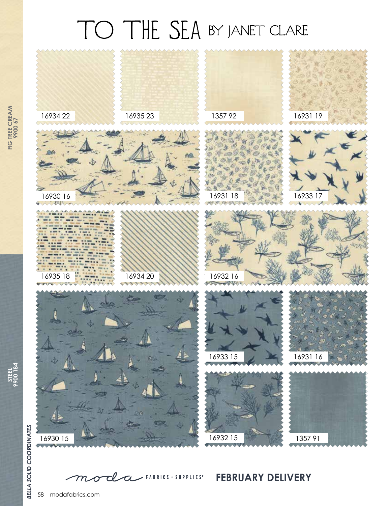## TO THE SEA BY JANET CLARE



**FIG TREE CREAM FIG TREE CREAM** 

**STEEL 9900 184**

tl  $\angle$  FABRICS + SUPPLIES<sup>®</sup>  $\alpha$  ${\cal T\!P}$  $\boldsymbol{\sigma}$ 

**FEBRUARY DELIVERY**

58 modafabrics.com